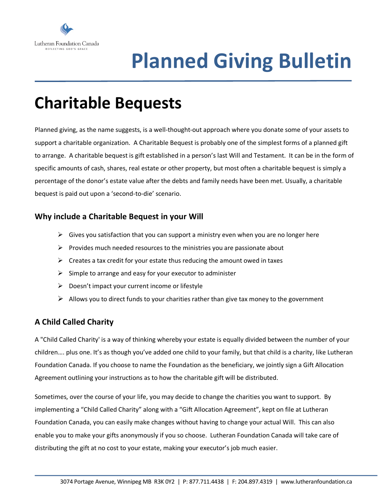

# **Planned Giving Bulletin**

## **Charitable Bequests**

Planned giving, as the name suggests, is a well-thought-out approach where you donate some of your assets to support a charitable organization. A Charitable Bequest is probably one of the simplest forms of a planned gift to arrange. A charitable bequest is gift established in a person's last Will and Testament. It can be in the form of specific amounts of cash, shares, real estate or other property, but most often a charitable bequest is simply a percentage of the donor's estate value after the debts and family needs have been met. Usually, a charitable bequest is paid out upon a 'second-to-die' scenario.

#### **Why include a Charitable Bequest in your Will**

- $\triangleright$  Gives you satisfaction that you can support a ministry even when you are no longer here
- $\triangleright$  Provides much needed resources to the ministries you are passionate about
- $\triangleright$  Creates a tax credit for your estate thus reducing the amount owed in taxes
- $\triangleright$  Simple to arrange and easy for your executor to administer
- $\triangleright$  Doesn't impact your current income or lifestyle
- $\triangleright$  Allows you to direct funds to your charities rather than give tax money to the government

### **A Child Called Charity**

A "Child Called Charity' is a way of thinking whereby your estate is equally divided between the number of your children…. plus one. It's as though you've added one child to your family, but that child is a charity, like Lutheran Foundation Canada. If you choose to name the Foundation as the beneficiary, we jointly sign a Gift Allocation Agreement outlining your instructions as to how the charitable gift will be distributed.

Sometimes, over the course of your life, you may decide to change the charities you want to support. By implementing a "Child Called Charity" along with a "Gift Allocation Agreement", kept on file at Lutheran Foundation Canada, you can easily make changes without having to change your actual Will. This can also enable you to make your gifts anonymously if you so choose. Lutheran Foundation Canada will take care of distributing the gift at no cost to your estate, making your executor's job much easier.